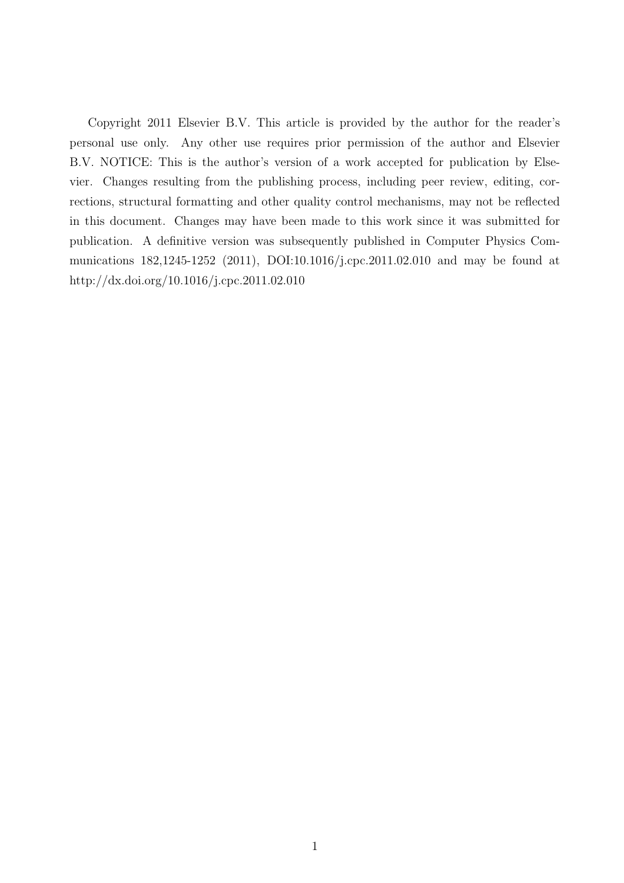Copyright 2011 Elsevier B.V. This article is provided by the author for the reader's personal use only. Any other use requires prior permission of the author and Elsevier B.V. NOTICE: This is the author's version of a work accepted for publication by Elsevier. Changes resulting from the publishing process, including peer review, editing, corrections, structural formatting and other quality control mechanisms, may not be reflected in this document. Changes may have been made to this work since it was submitted for publication. A definitive version was subsequently published in Computer Physics Communications 182,1245-1252 (2011), DOI:10.1016/j.cpc.2011.02.010 and may be found at http://dx.doi.org/10.1016/j.cpc.2011.02.010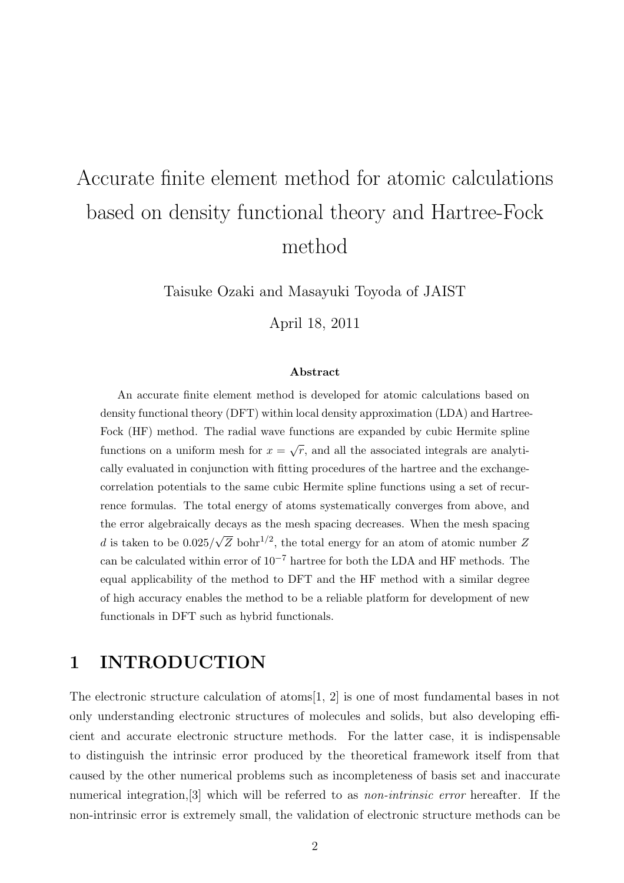# Accurate finite element method for atomic calculations based on density functional theory and Hartree-Fock method

Taisuke Ozaki and Masayuki Toyoda of JAIST

April 18, 2011

#### Abstract

An accurate finite element method is developed for atomic calculations based on density functional theory (DFT) within local density approximation (LDA) and Hartree-Fock (HF) method. The radial wave functions are expanded by cubic Hermite spline functions on a uniform mesh for  $x = \sqrt{r}$ , and all the associated integrals are analytically evaluated in conjunction with fitting procedures of the hartree and the exchangecorrelation potentials to the same cubic Hermite spline functions using a set of recurrence formulas. The total energy of atoms systematically converges from above, and the error algebraically decays as the mesh spacing decreases. When the mesh spacing d is taken to be  $0.025/$  $\sqrt{Z}$  bohr<sup>1/2</sup>, the total energy for an atom of atomic number Z can be calculated within error of  $10^{-7}$  hartree for both the LDA and HF methods. The equal applicability of the method to DFT and the HF method with a similar degree of high accuracy enables the method to be a reliable platform for development of new functionals in DFT such as hybrid functionals.

# 1 INTRODUCTION

The electronic structure calculation of atoms[1, 2] is one of most fundamental bases in not only understanding electronic structures of molecules and solids, but also developing efficient and accurate electronic structure methods. For the latter case, it is indispensable to distinguish the intrinsic error produced by the theoretical framework itself from that caused by the other numerical problems such as incompleteness of basis set and inaccurate numerical integration, [3] which will be referred to as *non-intrinsic error* hereafter. If the non-intrinsic error is extremely small, the validation of electronic structure methods can be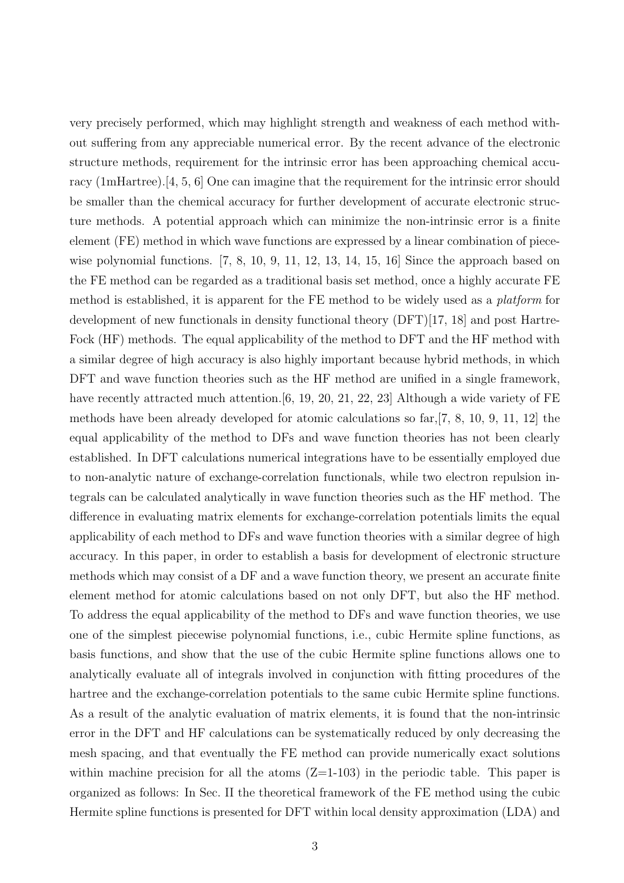very precisely performed, which may highlight strength and weakness of each method without suffering from any appreciable numerical error. By the recent advance of the electronic structure methods, requirement for the intrinsic error has been approaching chemical accuracy (1mHartree).[4, 5, 6] One can imagine that the requirement for the intrinsic error should be smaller than the chemical accuracy for further development of accurate electronic structure methods. A potential approach which can minimize the non-intrinsic error is a finite element (FE) method in which wave functions are expressed by a linear combination of piecewise polynomial functions.  $\begin{bmatrix} 7, 8, 10, 9, 11, 12, 13, 14, 15, 16 \end{bmatrix}$  Since the approach based on the FE method can be regarded as a traditional basis set method, once a highly accurate FE method is established, it is apparent for the FE method to be widely used as a platform for development of new functionals in density functional theory (DFT)[17, 18] and post Hartre-Fock (HF) methods. The equal applicability of the method to DFT and the HF method with a similar degree of high accuracy is also highly important because hybrid methods, in which DFT and wave function theories such as the HF method are unified in a single framework, have recently attracted much attention.[6, 19, 20, 21, 22, 23] Although a wide variety of FE methods have been already developed for atomic calculations so far,[7, 8, 10, 9, 11, 12] the equal applicability of the method to DFs and wave function theories has not been clearly established. In DFT calculations numerical integrations have to be essentially employed due to non-analytic nature of exchange-correlation functionals, while two electron repulsion integrals can be calculated analytically in wave function theories such as the HF method. The difference in evaluating matrix elements for exchange-correlation potentials limits the equal applicability of each method to DFs and wave function theories with a similar degree of high accuracy. In this paper, in order to establish a basis for development of electronic structure methods which may consist of a DF and a wave function theory, we present an accurate finite element method for atomic calculations based on not only DFT, but also the HF method. To address the equal applicability of the method to DFs and wave function theories, we use one of the simplest piecewise polynomial functions, i.e., cubic Hermite spline functions, as basis functions, and show that the use of the cubic Hermite spline functions allows one to analytically evaluate all of integrals involved in conjunction with fitting procedures of the hartree and the exchange-correlation potentials to the same cubic Hermite spline functions. As a result of the analytic evaluation of matrix elements, it is found that the non-intrinsic error in the DFT and HF calculations can be systematically reduced by only decreasing the mesh spacing, and that eventually the FE method can provide numerically exact solutions within machine precision for all the atoms  $(Z=1-103)$  in the periodic table. This paper is organized as follows: In Sec. II the theoretical framework of the FE method using the cubic Hermite spline functions is presented for DFT within local density approximation (LDA) and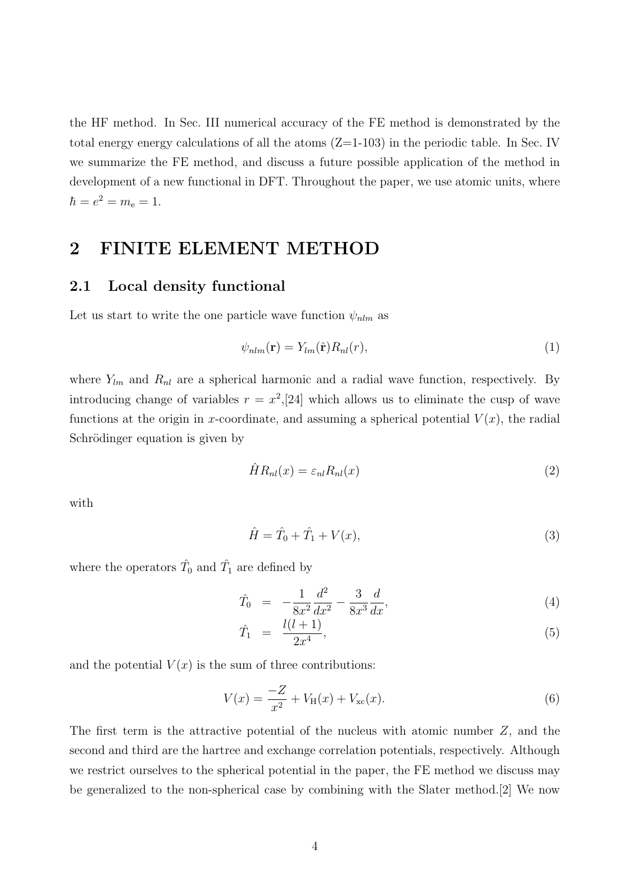the HF method. In Sec. III numerical accuracy of the FE method is demonstrated by the total energy energy calculations of all the atoms  $(Z=1-103)$  in the periodic table. In Sec. IV we summarize the FE method, and discuss a future possible application of the method in development of a new functional in DFT. Throughout the paper, we use atomic units, where  $\hbar = e^2 = m_e = 1.$ 

## 2 FINITE ELEMENT METHOD

### 2.1 Local density functional

Let us start to write the one particle wave function  $\psi_{nlm}$  as

$$
\psi_{nlm}(\mathbf{r}) = Y_{lm}(\hat{\mathbf{r}}) R_{nl}(r),\tag{1}
$$

where  $Y_{lm}$  and  $R_{nl}$  are a spherical harmonic and a radial wave function, respectively. By introducing change of variables  $r = x^2$ , [24] which allows us to eliminate the cusp of wave functions at the origin in x-coordinate, and assuming a spherical potential  $V(x)$ , the radial Schrödinger equation is given by

$$
\hat{H}R_{nl}(x) = \varepsilon_{nl}R_{nl}(x) \tag{2}
$$

with

$$
\hat{H} = \hat{T}_0 + \hat{T}_1 + V(x),\tag{3}
$$

where the operators  $\hat{T}_0$  and  $\hat{T}_1$  are defined by

$$
\hat{T}_0 = -\frac{1}{8x^2} \frac{d^2}{dx^2} - \frac{3}{8x^3} \frac{d}{dx},\tag{4}
$$

$$
\hat{T}_1 = \frac{l(l+1)}{2x^4},\tag{5}
$$

and the potential  $V(x)$  is the sum of three contributions:

$$
V(x) = \frac{-Z}{x^2} + V_{\rm H}(x) + V_{\rm xc}(x). \tag{6}
$$

The first term is the attractive potential of the nucleus with atomic number Z, and the second and third are the hartree and exchange correlation potentials, respectively. Although we restrict ourselves to the spherical potential in the paper, the FE method we discuss may be generalized to the non-spherical case by combining with the Slater method.[2] We now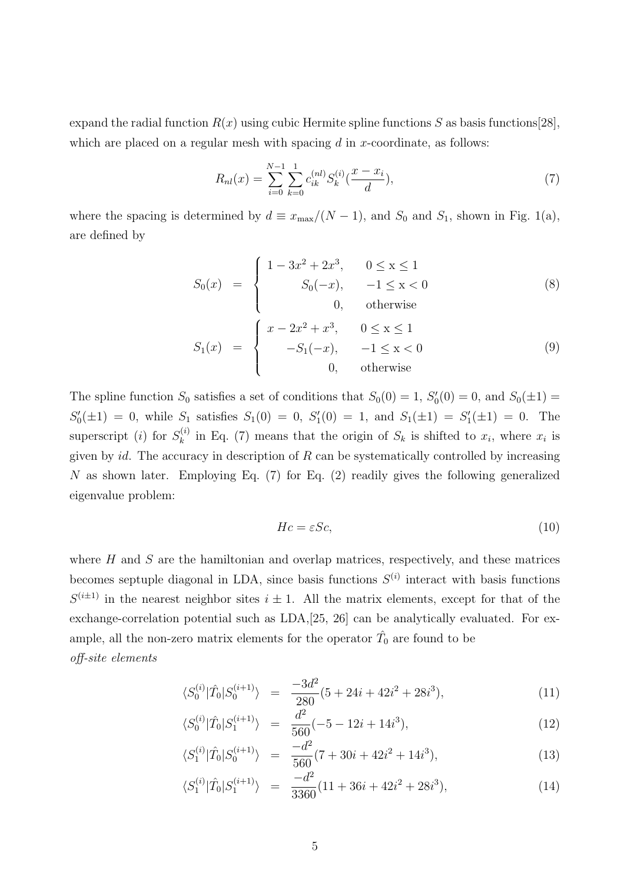expand the radial function  $R(x)$  using cubic Hermite spline functions S as basis functions [28], which are placed on a regular mesh with spacing  $d$  in x-coordinate, as follows:

$$
R_{nl}(x) = \sum_{i=0}^{N-1} \sum_{k=0}^{1} c_{ik}^{(nl)} S_k^{(i)}(\frac{x - x_i}{d}),
$$
\n(7)

where the spacing is determined by  $d \equiv x_{\text{max}}/(N-1)$ , and  $S_0$  and  $S_1$ , shown in Fig. 1(a), are defined by

$$
S_0(x) = \begin{cases} 1 - 3x^2 + 2x^3, & 0 \le x \le 1 \\ S_0(-x), & -1 \le x < 0 \\ 0, & \text{otherwise} \end{cases}
$$
(8)  

$$
S_1(x) = \begin{cases} x - 2x^2 + x^3, & 0 \le x \le 1 \\ -S_1(-x), & -1 \le x < 0 \\ 0, & \text{otherwise} \end{cases}
$$
(9)

The spline function  $S_0$  satisfies a set of conditions that  $S_0(0) = 1$ ,  $S'_0(0) = 0$ , and  $S_0(\pm 1) =$  $S'_0(\pm 1) = 0$ , while  $S_1$  satisfies  $S_1(0) = 0$ ,  $S'_1(0) = 1$ , and  $S_1(\pm 1) = S'_1(\pm 1) = 0$ . The superscript (*i*) for  $S_k^{(i)}$  $\kappa_k^{(i)}$  in Eq. (7) means that the origin of  $S_k$  is shifted to  $x_i$ , where  $x_i$  is given by  $id$ . The accuracy in description of  $R$  can be systematically controlled by increasing N as shown later. Employing Eq.  $(7)$  for Eq.  $(2)$  readily gives the following generalized eigenvalue problem:

$$
Hc = \varepsilon Sc,\tag{10}
$$

where  $H$  and  $S$  are the hamiltonian and overlap matrices, respectively, and these matrices becomes septuple diagonal in LDA, since basis functions  $S^{(i)}$  interact with basis functions  $S^{(i\pm 1)}$  in the nearest neighbor sites  $i \pm 1$ . All the matrix elements, except for that of the exchange-correlation potential such as LDA,[25, 26] can be analytically evaluated. For example, all the non-zero matrix elements for the operator  $\hat{T}_0$  are found to be off-site elements

$$
\langle S_0^{(i)} | \hat{T}_0 | S_0^{(i+1)} \rangle = \frac{-3d^2}{280} (5 + 24i + 42i^2 + 28i^3), \tag{11}
$$

$$
\langle S_0^{(i)} | \hat{T}_0 | S_1^{(i+1)} \rangle = \frac{d^2}{560} (-5 - 12i + 14i^3), \tag{12}
$$

$$
\langle S_1^{(i)}|\hat{T}_0|S_0^{(i+1)}\rangle = \frac{-d^2}{560}(7+30i+42i^2+14i^3),\tag{13}
$$

$$
\langle S_1^{(i)}|\hat{T}_0|S_1^{(i+1)}\rangle = \frac{-d^2}{3360}(11+36i+42i^2+28i^3),\tag{14}
$$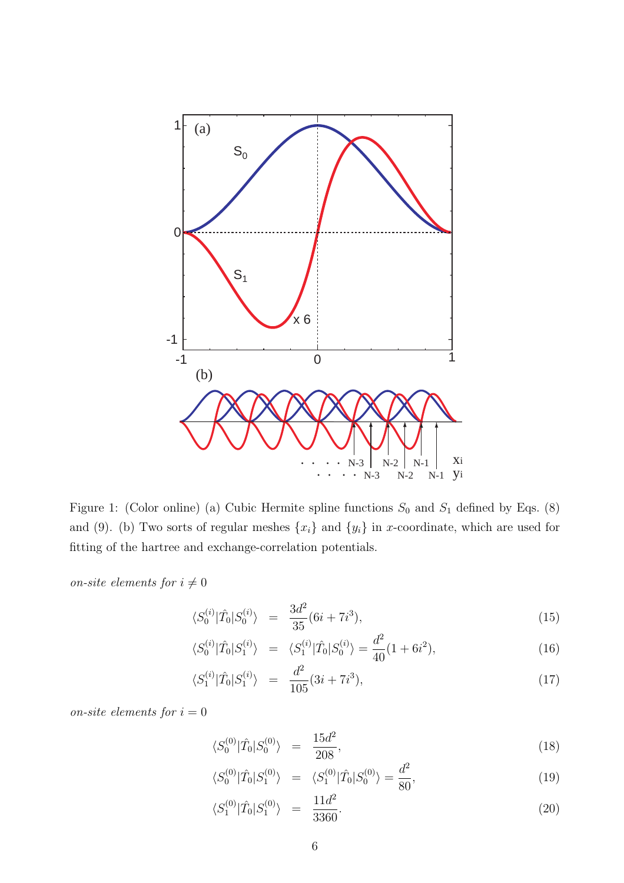

Figure 1: (Color online) (a) Cubic Hermite spline functions  $S_0$  and  $S_1$  defined by Eqs. (8) and (9). (b) Two sorts of regular meshes  $\{x_i\}$  and  $\{y_i\}$  in x-coordinate, which are used for fitting of the hartree and exchange-correlation potentials.

on-site elements for  $i \neq 0$ 

$$
\langle S_0^{(i)} | \hat{T}_0 | S_0^{(i)} \rangle = \frac{3d^2}{35} (6i + 7i^3), \tag{15}
$$

$$
\langle S_0^{(i)} | \hat{T}_0 | S_1^{(i)} \rangle = \langle S_1^{(i)} | \hat{T}_0 | S_0^{(i)} \rangle = \frac{d^2}{40} (1 + 6i^2), \tag{16}
$$

$$
\langle S_1^{(i)}|\hat{T}_0|S_1^{(i)}\rangle = \frac{d^2}{105}(3i+7i^3),\tag{17}
$$

on-site elements for  $i=0$ 

$$
\langle S_0^{(0)} | \hat{T}_0 | S_0^{(0)} \rangle = \frac{15d^2}{208}, \tag{18}
$$

$$
\langle S_0^{(0)} | \hat{T}_0 | S_1^{(0)} \rangle = \langle S_1^{(0)} | \hat{T}_0 | S_0^{(0)} \rangle = \frac{d^2}{80},\tag{19}
$$

$$
\langle S_1^{(0)} | \hat{T}_0 | S_1^{(0)} \rangle = \frac{11d^2}{3360}.
$$
 (20)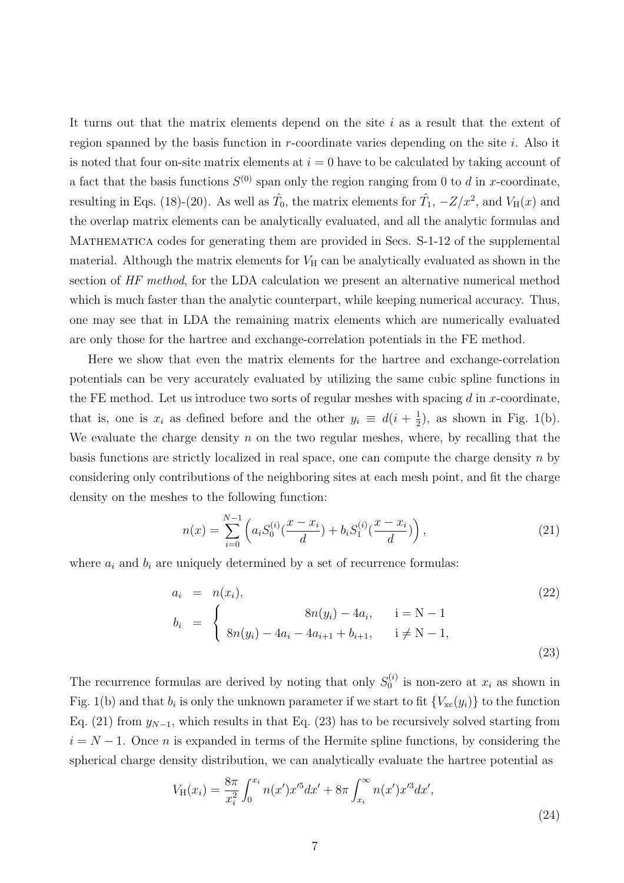It turns out that the matrix elements depend on the site  $i$  as a result that the extent of region spanned by the basis function in  $r$ -coordinate varies depending on the site  $i$ . Also it is noted that four on-site matrix elements at  $i = 0$  have to be calculated by taking account of a fact that the basis functions  $S^{(0)}$  span only the region ranging from 0 to d in x-coordinate, resulting in Eqs. (18)-(20). As well as  $\hat{T}_0$ , the matrix elements for  $\hat{T}_1$ ,  $-Z/x^2$ , and  $V_H(x)$  and the overlap matrix elements can be analytically evaluated, and all the analytic formulas and MATHEMATICA codes for generating them are provided in Secs. S-1-12 of the supplemental material. Although the matrix elements for  $V_H$  can be analytically evaluated as shown in the section of HF method, for the LDA calculation we present an alternative numerical method which is much faster than the analytic counterpart, while keeping numerical accuracy. Thus, one may see that in LDA the remaining matrix elements which are numerically evaluated are only those for the hartree and exchange-correlation potentials in the FE method.

Here we show that even the matrix elements for the hartree and exchange-correlation potentials can be very accurately evaluated by utilizing the same cubic spline functions in the FE method. Let us introduce two sorts of regular meshes with spacing  $d$  in x-coordinate, that is, one is  $x_i$  as defined before and the other  $y_i \equiv d(i + \frac{1}{2})$  $(\frac{1}{2})$ , as shown in Fig. 1(b). We evaluate the charge density  $n$  on the two regular meshes, where, by recalling that the basis functions are strictly localized in real space, one can compute the charge density  $n$  by considering only contributions of the neighboring sites at each mesh point, and fit the charge density on the meshes to the following function:

$$
n(x) = \sum_{i=0}^{N-1} \left( a_i S_0^{(i)} \left( \frac{x - x_i}{d} \right) + b_i S_1^{(i)} \left( \frac{x - x_i}{d} \right) \right),\tag{21}
$$

where  $a_i$  and  $b_i$  are uniquely determined by a set of recurrence formulas:

$$
a_i = n(x_i),
$$
  
\n
$$
b_i = \begin{cases} 8n(y_i) - 4a_i, & i = N - 1 \\ 8n(y_i) - 4a_i - 4a_{i+1} + b_{i+1}, & i \neq N - 1, \end{cases}
$$
\n(22)

The recurrence formulas are derived by noting that only  $S_0^{(i)}$  $v_0^{(i)}$  is non-zero at  $x_i$  as shown in Fig. 1(b) and that  $b_i$  is only the unknown parameter if we start to fit  ${V_{\text{xc}}(y_i)}$  to the function Eq. (21) from  $y_{N-1}$ , which results in that Eq. (23) has to be recursively solved starting from  $i = N - 1$ . Once *n* is expanded in terms of the Hermite spline functions, by considering the spherical charge density distribution, we can analytically evaluate the hartree potential as

$$
V_{\rm H}(x_i) = \frac{8\pi}{x_i^2} \int_0^{x_i} n(x')x'^5 dx' + 8\pi \int_{x_i}^{\infty} n(x')x'^3 dx',
$$
\n(24)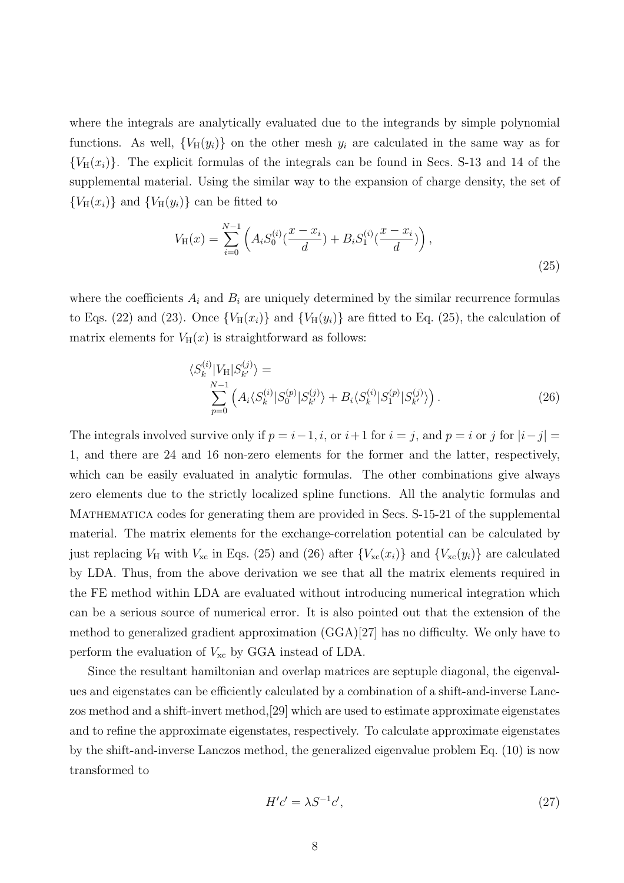where the integrals are analytically evaluated due to the integrands by simple polynomial functions. As well,  ${V_H(y_i)}$  on the other mesh  $y_i$  are calculated in the same way as for  ${V_H(x_i)}$ . The explicit formulas of the integrals can be found in Secs. S-13 and 14 of the supplemental material. Using the similar way to the expansion of charge density, the set of  ${V_H(x_i)}$  and  ${V_H(y_i)}$  can be fitted to

$$
V_{\rm H}(x) = \sum_{i=0}^{N-1} \left( A_i S_0^{(i)} \left( \frac{x - x_i}{d} \right) + B_i S_1^{(i)} \left( \frac{x - x_i}{d} \right) \right),\tag{25}
$$

where the coefficients  $A_i$  and  $B_i$  are uniquely determined by the similar recurrence formulas to Eqs. (22) and (23). Once  ${V_H(x_i)}$  and  ${V_H(y_i)}$  are fitted to Eq. (25), the calculation of matrix elements for  $V_H(x)$  is straightforward as follows:

$$
\langle S_k^{(i)} | V_{\rm H} | S_{k'}^{(j)} \rangle = \sum_{p=0}^{N-1} \left( A_i \langle S_k^{(i)} | S_0^{(p)} | S_{k'}^{(j)} \rangle + B_i \langle S_k^{(i)} | S_1^{(p)} | S_{k'}^{(j)} \rangle \right). \tag{26}
$$

The integrals involved survive only if  $p = i-1, i$ , or  $i+1$  for  $i = j$ , and  $p = i$  or j for  $|i-j| =$ 1, and there are 24 and 16 non-zero elements for the former and the latter, respectively, which can be easily evaluated in analytic formulas. The other combinations give always zero elements due to the strictly localized spline functions. All the analytic formulas and Mathematica codes for generating them are provided in Secs. S-15-21 of the supplemental material. The matrix elements for the exchange-correlation potential can be calculated by just replacing  $V_H$  with  $V_{\text{xc}}$  in Eqs. (25) and (26) after  $\{V_{\text{xc}}(x_i)\}\$ and  $\{V_{\text{xc}}(y_i)\}\$ are calculated by LDA. Thus, from the above derivation we see that all the matrix elements required in the FE method within LDA are evaluated without introducing numerical integration which can be a serious source of numerical error. It is also pointed out that the extension of the method to generalized gradient approximation (GGA)[27] has no difficulty. We only have to perform the evaluation of  $V_{\text{xc}}$  by GGA instead of LDA.

Since the resultant hamiltonian and overlap matrices are septuple diagonal, the eigenvalues and eigenstates can be efficiently calculated by a combination of a shift-and-inverse Lanczos method and a shift-invert method,[29] which are used to estimate approximate eigenstates and to refine the approximate eigenstates, respectively. To calculate approximate eigenstates by the shift-and-inverse Lanczos method, the generalized eigenvalue problem Eq. (10) is now transformed to

$$
H'c' = \lambda S^{-1}c',\tag{27}
$$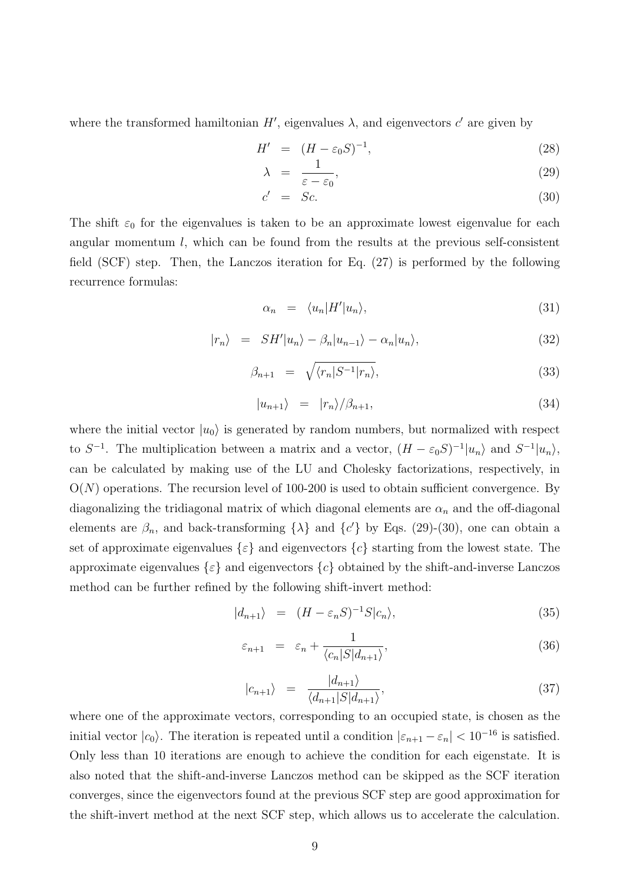where the transformed hamiltonian  $H'$ , eigenvalues  $\lambda$ , and eigenvectors c' are given by

$$
H' = (H - \varepsilon_0 S)^{-1}, \tag{28}
$$

$$
\lambda = \frac{1}{\varepsilon - \varepsilon_0},\tag{29}
$$

$$
c' = Sc.
$$
 (30)

The shift  $\varepsilon_0$  for the eigenvalues is taken to be an approximate lowest eigenvalue for each angular momentum  $l$ , which can be found from the results at the previous self-consistent field (SCF) step. Then, the Lanczos iteration for Eq. (27) is performed by the following recurrence formulas:

$$
\alpha_n = \langle u_n | H' | u_n \rangle,\tag{31}
$$

$$
|r_n\rangle = SH'|u_n\rangle - \beta_n |u_{n-1}\rangle - \alpha_n |u_n\rangle, \qquad (32)
$$

$$
\beta_{n+1} = \sqrt{\langle r_n | S^{-1} | r_n \rangle}, \tag{33}
$$

$$
|u_{n+1}\rangle = |r_n\rangle/\beta_{n+1},\tag{34}
$$

where the initial vector  $|u_0\rangle$  is generated by random numbers, but normalized with respect to  $S^{-1}$ . The multiplication between a matrix and a vector,  $(H - \varepsilon_0 S)^{-1} |u_n\rangle$  and  $S^{-1} |u_n\rangle$ , can be calculated by making use of the LU and Cholesky factorizations, respectively, in  $O(N)$  operations. The recursion level of 100-200 is used to obtain sufficient convergence. By diagonalizing the tridiagonal matrix of which diagonal elements are  $\alpha_n$  and the off-diagonal elements are  $\beta_n$ , and back-transforming  $\{\lambda\}$  and  $\{c'\}$  by Eqs. (29)-(30), one can obtain a set of approximate eigenvalues  $\{\varepsilon\}$  and eigenvectors  $\{c\}$  starting from the lowest state. The approximate eigenvalues  $\{\varepsilon\}$  and eigenvectors  $\{c\}$  obtained by the shift-and-inverse Lanczos method can be further refined by the following shift-invert method:

$$
|d_{n+1}\rangle = (H - \varepsilon_n S)^{-1} S |c_n\rangle, \tag{35}
$$

$$
\varepsilon_{n+1} = \varepsilon_n + \frac{1}{\langle c_n | S | d_{n+1} \rangle},\tag{36}
$$

$$
|c_{n+1}\rangle = \frac{|d_{n+1}\rangle}{\langle d_{n+1}|S|d_{n+1}\rangle},\tag{37}
$$

where one of the approximate vectors, corresponding to an occupied state, is chosen as the initial vector  $|c_0\rangle$ . The iteration is repeated until a condition  $|\varepsilon_{n+1} - \varepsilon_n| < 10^{-16}$  is satisfied. Only less than 10 iterations are enough to achieve the condition for each eigenstate. It is also noted that the shift-and-inverse Lanczos method can be skipped as the SCF iteration converges, since the eigenvectors found at the previous SCF step are good approximation for the shift-invert method at the next SCF step, which allows us to accelerate the calculation.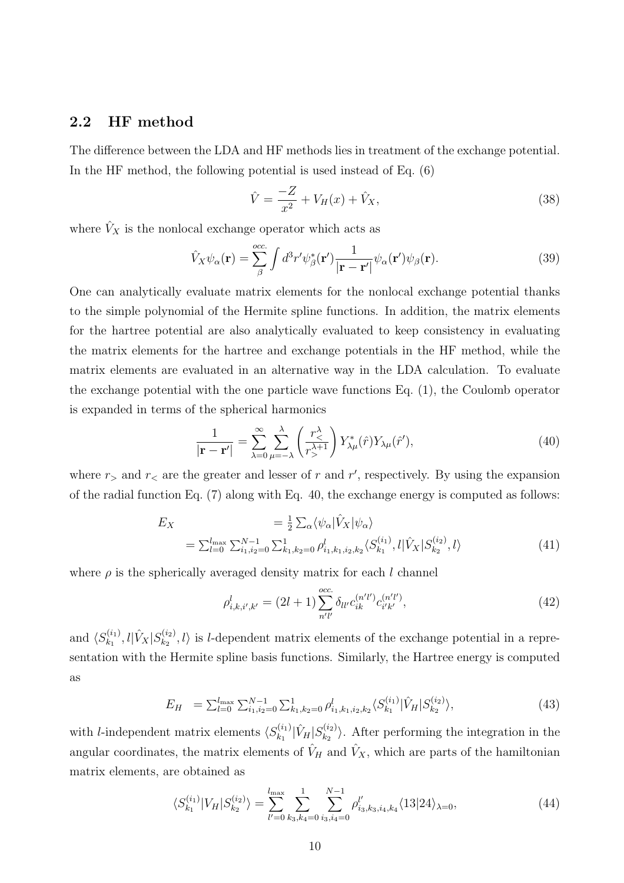### 2.2 HF method

The difference between the LDA and HF methods lies in treatment of the exchange potential. In the HF method, the following potential is used instead of Eq. (6)

$$
\hat{V} = \frac{-Z}{x^2} + V_H(x) + \hat{V}_X,
$$
\n(38)

where  $\hat{V}_X$  is the nonlocal exchange operator which acts as

$$
\hat{V}_X \psi_\alpha(\mathbf{r}) = \sum_{\beta}^{occ.} \int d^3 r' \psi_\beta^*(\mathbf{r}') \frac{1}{|\mathbf{r} - \mathbf{r}'|} \psi_\alpha(\mathbf{r}') \psi_\beta(\mathbf{r}). \tag{39}
$$

One can analytically evaluate matrix elements for the nonlocal exchange potential thanks to the simple polynomial of the Hermite spline functions. In addition, the matrix elements for the hartree potential are also analytically evaluated to keep consistency in evaluating the matrix elements for the hartree and exchange potentials in the HF method, while the matrix elements are evaluated in an alternative way in the LDA calculation. To evaluate the exchange potential with the one particle wave functions Eq. (1), the Coulomb operator is expanded in terms of the spherical harmonics

$$
\frac{1}{|\mathbf{r} - \mathbf{r}'|} = \sum_{\lambda=0}^{\infty} \sum_{\mu=-\lambda}^{\lambda} \left(\frac{r_{\le}^{\lambda}}{r_{>}^{\lambda+1}}\right) Y_{\lambda\mu}^*(\hat{r}) Y_{\lambda\mu}(\hat{r}'),\tag{40}
$$

where  $r_{\geq}$  and  $r_{\leq}$  are the greater and lesser of r and r', respectively. By using the expansion of the radial function Eq. (7) along with Eq. 40, the exchange energy is computed as follows:

$$
E_X = \frac{1}{2} \sum_{\alpha} \langle \psi_{\alpha} | \hat{V}_X | \psi_{\alpha} \rangle
$$
  
=  $\sum_{l=0}^{l_{\text{max}}} \sum_{i_1, i_2=0}^{N-1} \sum_{k_1, k_2=0}^{1} \rho_{i_1, k_1, i_2, k_2}^l \langle S_{k_1}^{(i_1)}, l | \hat{V}_X | S_{k_2}^{(i_2)}, l \rangle$  (41)

where  $\rho$  is the spherically averaged density matrix for each l channel

$$
\rho_{i,k,i',k'}^l = (2l+1) \sum_{n'l'}^{occ.} \delta_{ll'} c_{ik}^{(n'l')} c_{i'k'}^{(n'l')},\tag{42}
$$

and  $\langle S_{k_1}^{(i_1)} \rangle$  $\hat{V}_{k_1}^{(i_1)},l|\hat{V}_X|S_{k_2}^{(i_2)}$  $\langle k_2^{(2)}\rangle$ , l) is l-dependent matrix elements of the exchange potential in a representation with the Hermite spline basis functions. Similarly, the Hartree energy is computed as

$$
E_H = \sum_{l=0}^{l_{\text{max}}} \sum_{i_1, i_2=0}^{N-1} \sum_{k_1, k_2=0}^1 \rho_{i_1, k_1, i_2, k_2}^l \langle S_{k_1}^{(i_1)} | \hat{V}_H | S_{k_2}^{(i_2)} \rangle, \tag{43}
$$

with *l*-independent matrix elements  $\langle S_{k_1}^{(i_1)} \rangle$  $\hat{V}_{k_1}^{(i_1)} | \hat{V}_H | S_{k_2}^{(i_2)}$  $\langle k_2^{(2)} \rangle$ . After performing the integration in the angular coordinates, the matrix elements of  $\hat{V}_H$  and  $\hat{V}_X$ , which are parts of the hamiltonian matrix elements, are obtained as

$$
\langle S_{k_1}^{(i_1)} | V_H | S_{k_2}^{(i_2)} \rangle = \sum_{l'=0}^{l_{\text{max}}} \sum_{k_3, k_4=0}^{1} \sum_{i_3, i_4=0}^{N-1} \rho_{i_3, k_3, i_4, k_4}^{l'} \langle 13 | 24 \rangle_{\lambda=0}, \tag{44}
$$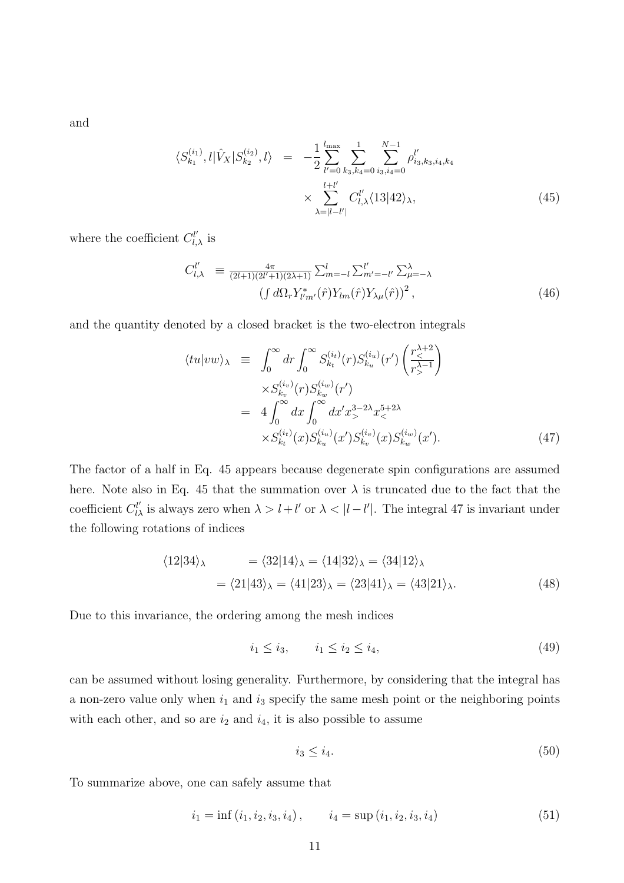and

$$
\langle S_{k_1}^{(i_1)}, l | \hat{V}_X | S_{k_2}^{(i_2)}, l \rangle = -\frac{1}{2} \sum_{l'=0}^{l_{\text{max}}} \sum_{k_3, k_4=0}^1 \sum_{i_3, i_4=0}^{N-1} \rho_{i_3, k_3, i_4, k_4}^{l'} \times \sum_{\lambda=|l-l'|}^{l+l'} C_{l,\lambda}^{l'} \langle 13 | 42 \rangle_{\lambda},
$$
\n(45)

where the coefficient  $C_{l,\lambda}^{l'}$  is

$$
C_{l,\lambda}^{l'} \equiv \frac{4\pi}{(2l+1)(2l'+1)(2\lambda+1)} \sum_{m=-l}^{l} \sum_{m'=-l'}^{l'} \sum_{\mu=-\lambda}^{\lambda} (f \, d\Omega_r Y_{l'm'}^*(\hat{r}) Y_{lm}(\hat{r}) Y_{\lambda\mu}(\hat{r}))^2, \tag{46}
$$

and the quantity denoted by a closed bracket is the two-electron integrals

$$
\langle tu|vw\rangle_{\lambda} \equiv \int_0^{\infty} dr \int_0^{\infty} S_{k_t}^{(i_t)}(r) S_{k_u}^{(i_u)}(r') \left(\frac{r_{<}^{\lambda+2}}{r_{>}^{\lambda-1}}\right) \times S_{k_v}^{(i_v)}(r) S_{k_w}^{(i_w)}(r') \n= 4 \int_0^{\infty} dx \int_0^{\infty} dx' x_{<}^{3-2\lambda} x_{<}^{5+2\lambda} \times S_{k_t}^{(i_t)}(x) S_{k_u}^{(i_u)}(x') S_{k_v}^{(i_v)}(x) S_{k_w}^{(i_w)}(x').
$$
\n(47)

The factor of a half in Eq. 45 appears because degenerate spin configurations are assumed here. Note also in Eq. 45 that the summation over  $\lambda$  is truncated due to the fact that the coefficient  $C_{l\lambda}^{l'}$  is always zero when  $\lambda > l + l'$  or  $\lambda < |l - l'|$ . The integral 47 is invariant under the following rotations of indices

$$
\langle 12|34\rangle_{\lambda} = \langle 32|14\rangle_{\lambda} = \langle 14|32\rangle_{\lambda} = \langle 34|12\rangle_{\lambda}
$$

$$
= \langle 21|43\rangle_{\lambda} = \langle 41|23\rangle_{\lambda} = \langle 23|41\rangle_{\lambda} = \langle 43|21\rangle_{\lambda}.
$$
(48)

Due to this invariance, the ordering among the mesh indices

$$
i_1 \le i_3, \qquad i_1 \le i_2 \le i_4,\tag{49}
$$

can be assumed without losing generality. Furthermore, by considering that the integral has a non-zero value only when  $i_1$  and  $i_3$  specify the same mesh point or the neighboring points with each other, and so are  $i_2$  and  $i_4$ , it is also possible to assume

$$
i_3 \le i_4. \tag{50}
$$

To summarize above, one can safely assume that

$$
i_1 = \inf(i_1, i_2, i_3, i_4), \qquad i_4 = \sup(i_1, i_2, i_3, i_4)
$$
\n
$$
(51)
$$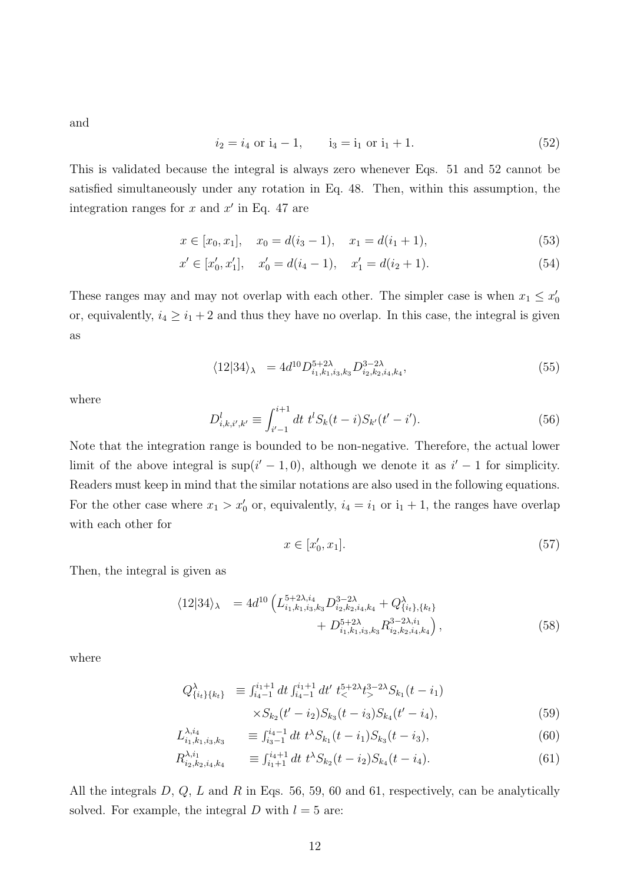and

$$
i_2 = i_4
$$
 or  $i_4 - 1$ ,  $i_3 = i_1$  or  $i_1 + 1$ . (52)

This is validated because the integral is always zero whenever Eqs. 51 and 52 cannot be satisfied simultaneously under any rotation in Eq. 48. Then, within this assumption, the integration ranges for  $x$  and  $x'$  in Eq. 47 are

$$
x \in [x_0, x_1], \quad x_0 = d(i_3 - 1), \quad x_1 = d(i_1 + 1), \tag{53}
$$

$$
x' \in [x'_0, x'_1], \quad x'_0 = d(i_4 - 1), \quad x'_1 = d(i_2 + 1).
$$
\n
$$
(54)
$$

These ranges may and may not overlap with each other. The simpler case is when  $x_1 \leq x'_0$ or, equivalently,  $i_4 \geq i_1 + 2$  and thus they have no overlap. In this case, the integral is given as

$$
\langle 12|34\rangle_{\lambda} = 4d^{10}D_{i_1,k_1,i_3,k_3}^{5+2\lambda}D_{i_2,k_2,i_4,k_4}^{3-2\lambda},\tag{55}
$$

where

$$
D_{i,k,i',k'}^l \equiv \int_{i'-1}^{i+1} dt \ t^l S_k(t-i) S_{k'}(t'-i'). \tag{56}
$$

Note that the integration range is bounded to be non-negative. Therefore, the actual lower limit of the above integral is  $\sup(i'-1,0)$ , although we denote it as  $i'-1$  for simplicity. Readers must keep in mind that the similar notations are also used in the following equations. For the other case where  $x_1 > x'_0$  or, equivalently,  $i_4 = i_1$  or  $i_1 + 1$ , the ranges have overlap with each other for

$$
x \in [x'_0, x_1]. \tag{57}
$$

Then, the integral is given as

$$
\langle 12|34\rangle_{\lambda} = 4d^{10} \left( L_{i_1,k_1,i_3,k_3}^{5+2\lambda,i_4} D_{i_2,k_2,i_4,k_4}^{3-2\lambda} + D_{i_1,k_1,i_3,k_3}^{5+2\lambda,i_4} R_{i_2,k_2,i_4,k_4}^{3-2\lambda,i_1} \right),
$$
\n(58)

where

$$
Q_{\{i_t\}\{k_t\}}^{\lambda} \equiv \int_{i_4-1}^{i_1+1} dt \int_{i_4-1}^{i_1+1} dt' \ t_<^{5+2\lambda} t_>^{3-2\lambda} S_{k_1}(t - i_1)
$$
  
 
$$
\times S_{k_2}(t'-i_2) S_{k_3}(t - i_3) S_{k_4}(t'-i_4), \tag{59}
$$

$$
L_{i_1,k_1,i_3,k_3}^{\lambda,i_4} \equiv \int_{i_3-1}^{i_4-1} dt \ t^{\lambda} S_{k_1}(t-i_1) S_{k_3}(t-i_3), \tag{60}
$$

$$
R_{i_2,k_2,i_4,k_4}^{\lambda,i_1} \equiv \int_{i_1+1}^{i_4+1} dt \ t^{\lambda} S_{k_2}(t-i_2) S_{k_4}(t-i_4). \tag{61}
$$

All the integrals  $D, Q, L$  and  $R$  in Eqs. 56, 59, 60 and 61, respectively, can be analytically solved. For example, the integral D with  $l = 5$  are: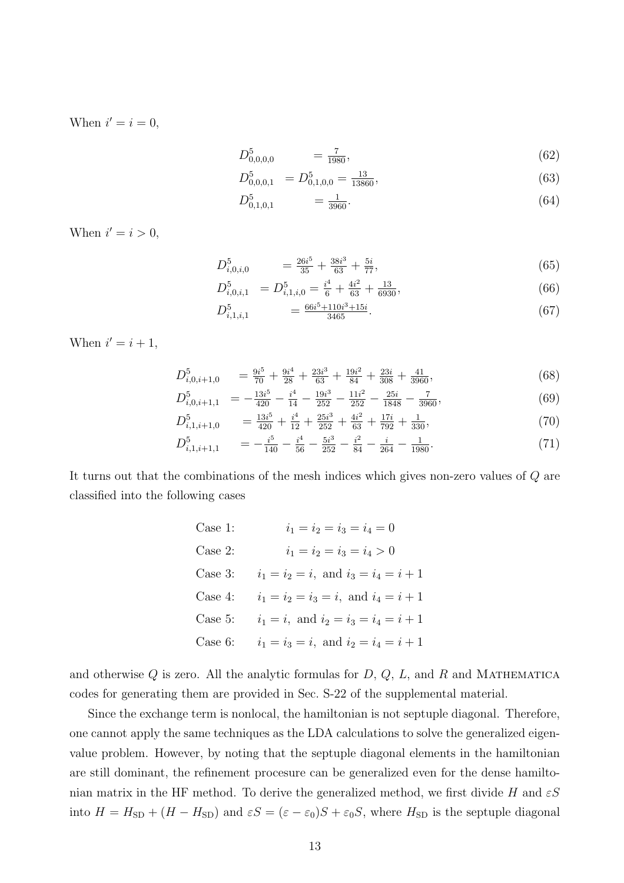When  $i' = i = 0$ ,

$$
D_{0,0,0,0}^5 = \frac{7}{1980},\tag{62}
$$

$$
D_{0,0,0,1}^5 = D_{0,1,0,0}^5 = \frac{13}{13860},\tag{63}
$$

$$
D_{0,1,0,1}^5 = \frac{1}{3960}.\tag{64}
$$

When  $i' = i > 0$ ,

$$
D_{i,0,i,0}^5 = \frac{26i^5}{35} + \frac{38i^3}{63} + \frac{5i}{77},\tag{65}
$$

$$
D_{i,0,i,1}^5 = D_{i,1,i,0}^5 = \frac{i^4}{6} + \frac{4i^2}{63} + \frac{13}{6930},
$$
\n(66)

$$
D_{i,1,i,1}^5 = \frac{66i^5 + 110i^3 + 15i}{3465}.
$$
\n(67)

When  $i' = i + 1$ ,

$$
D_{i,0,i+1,0}^5 = \frac{9i^5}{70} + \frac{9i^4}{28} + \frac{23i^3}{63} + \frac{19i^2}{84} + \frac{23i}{308} + \frac{41}{3960},\tag{68}
$$

$$
D_{i,0,i+1,1}^5 = -\frac{13i^5}{420} - \frac{i^4}{14} - \frac{19i^3}{252} - \frac{11i^2}{252} - \frac{25i}{1848} - \frac{7}{3960},
$$
(69)

$$
D_{i,1,i+1,0}^{5} = \frac{13i^{5}}{420} + \frac{i^{4}}{12} + \frac{25i^{3}}{252} + \frac{4i^{2}}{63} + \frac{17i}{792} + \frac{1}{330},
$$
\n
$$
D_{i}^{5} = \frac{i^{5}}{4} + \frac{3}{5}i^{3} + \frac{i^{2}}{4}i^{2} + \frac{1}{11}i^{2} + \frac{1}{11}i^{3} + \frac{1}{11}i^{4} + \frac{1}{11}i^{5} + \frac{1}{11}i^{6} + \frac{1}{11}i^{7} + \frac{1}{11}i^{8} + \frac{1}{11}i^{9} + \frac{1}{11}i^{10} + \frac{1}{11}i^{10} + \frac{1}{11}i^{11} + \frac{1}{11}i^{11} + \frac{1}{11}i^{11} + \frac{1}{11}i^{10} + \frac{1}{11}i^{11} + \frac{1}{11}i^{11} + \frac{1}{11}i^{10} + \frac{1}{11}i^{11} + \frac{1}{11}i^{10} + \frac{1}{11}i^{11} + \frac{1}{11}i^{11} + \frac{1}{11}i^{10} + \frac{1}{11}i^{11} + \frac{1}{11}i^{10} + \frac{1}{11}i^{11} + \frac{1}{11}i^{11} + \frac{1}{11}i^{11} + \frac{1}{11}i^{11} + \frac{1}{11}i^{11} + \frac{1}{11}i^{11} + \frac{1}{11}i^{11} + \frac{1}{11}i^{11} + \frac{1}{11}i^{11} + \frac{1}{11}i^{11} + \frac{1}{11}i^{11} + \frac{1}{11}i^{11} + \frac{1}{11}i^{11} + \frac{1}{11}i^{11} + \frac{1}{11}i^{11} + \frac{1}{11}i^{11} + \frac{1}{11}i^{11} + \frac{1}{11}i^{11} + \frac{1}{11}i^{11} + \frac{1}{11}i^{11} + \frac{1}{11
$$

$$
D_{i,1,i+1,1}^5 = -\frac{i^5}{140} - \frac{i^4}{56} - \frac{5i^3}{252} - \frac{i^2}{84} - \frac{i}{264} - \frac{1}{1980}.
$$
 (71)

It turns out that the combinations of the mesh indices which gives non-zero values of Q are classified into the following cases

| Case 1:   | $i_1 = i_2 = i_3 = i_4 = 0$               |
|-----------|-------------------------------------------|
| Case $2:$ | $i_1 = i_2 = i_3 = i_4 > 0$               |
| Case 3:   | $i_1 = i_2 = i$ , and $i_3 = i_4 = i + 1$ |
| Case 4:   | $i_1 = i_2 = i_3 = i$ , and $i_4 = i + 1$ |
| Case 5:   | $i_1 = i$ , and $i_2 = i_3 = i_4 = i + 1$ |
| Case $6:$ | $i_1 = i_3 = i$ , and $i_2 = i_4 = i + 1$ |

and otherwise  $Q$  is zero. All the analytic formulas for  $D, Q, L$ , and  $R$  and MATHEMATICA codes for generating them are provided in Sec. S-22 of the supplemental material.

Since the exchange term is nonlocal, the hamiltonian is not septuple diagonal. Therefore, one cannot apply the same techniques as the LDA calculations to solve the generalized eigenvalue problem. However, by noting that the septuple diagonal elements in the hamiltonian are still dominant, the refinement procesure can be generalized even for the dense hamiltonian matrix in the HF method. To derive the generalized method, we first divide H and  $\epsilon S$ into  $H = H_{SD} + (H - H_{SD})$  and  $\varepsilon S = (\varepsilon - \varepsilon_0)S + \varepsilon_0 S$ , where  $H_{SD}$  is the septuple diagonal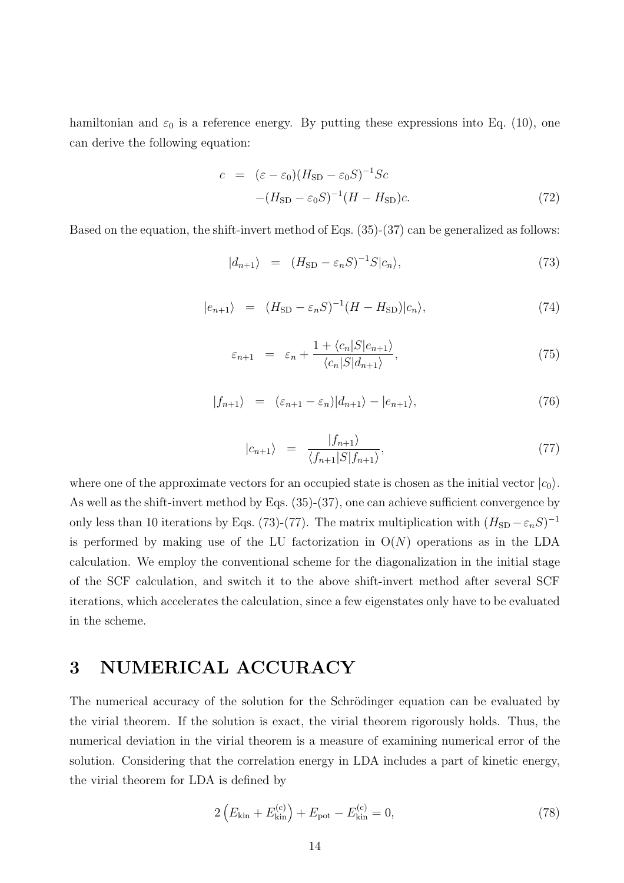hamiltonian and  $\varepsilon_0$  is a reference energy. By putting these expressions into Eq. (10), one can derive the following equation:

$$
c = (\varepsilon - \varepsilon_0)(H_{\rm SD} - \varepsilon_0 S)^{-1} Sc
$$

$$
-(H_{\rm SD} - \varepsilon_0 S)^{-1}(H - H_{\rm SD})c.
$$
 (72)

Based on the equation, the shift-invert method of Eqs. (35)-(37) can be generalized as follows:

$$
|d_{n+1}\rangle = (H_{\rm SD} - \varepsilon_n S)^{-1} S |c_n\rangle, \tag{73}
$$

$$
|e_{n+1}\rangle = (H_{\rm SD} - \varepsilon_n S)^{-1} (H - H_{\rm SD}) |c_n\rangle, \tag{74}
$$

$$
\varepsilon_{n+1} = \varepsilon_n + \frac{1 + \langle c_n | S | e_{n+1} \rangle}{\langle c_n | S | d_{n+1} \rangle},\tag{75}
$$

$$
|f_{n+1}\rangle = (\varepsilon_{n+1} - \varepsilon_n)|d_{n+1}\rangle - |e_{n+1}\rangle, \tag{76}
$$

$$
|c_{n+1}\rangle = \frac{|f_{n+1}\rangle}{\langle f_{n+1}|S|f_{n+1}\rangle},\tag{77}
$$

where one of the approximate vectors for an occupied state is chosen as the initial vector  $|c_0\rangle$ . As well as the shift-invert method by Eqs. (35)-(37), one can achieve sufficient convergence by only less than 10 iterations by Eqs. (73)-(77). The matrix multiplication with  $(H_{SD} - \varepsilon_n S)^{-1}$ is performed by making use of the LU factorization in  $O(N)$  operations as in the LDA calculation. We employ the conventional scheme for the diagonalization in the initial stage of the SCF calculation, and switch it to the above shift-invert method after several SCF iterations, which accelerates the calculation, since a few eigenstates only have to be evaluated in the scheme.

## 3 NUMERICAL ACCURACY

The numerical accuracy of the solution for the Schrödinger equation can be evaluated by the virial theorem. If the solution is exact, the virial theorem rigorously holds. Thus, the numerical deviation in the virial theorem is a measure of examining numerical error of the solution. Considering that the correlation energy in LDA includes a part of kinetic energy, the virial theorem for LDA is defined by

$$
2\left(E_{\rm kin} + E_{\rm kin}^{(c)}\right) + E_{\rm pot} - E_{\rm kin}^{(c)} = 0,\tag{78}
$$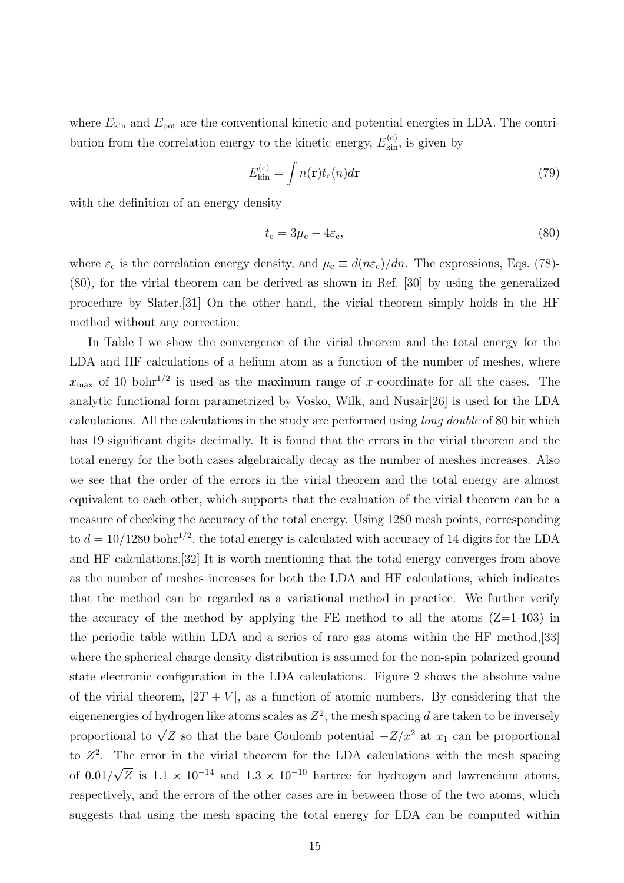where  $E_{kin}$  and  $E_{pot}$  are the conventional kinetic and potential energies in LDA. The contribution from the correlation energy to the kinetic energy,  $E_{kin}^{(c)}$ , is given by

$$
E_{\rm kin}^{(c)} = \int n(\mathbf{r}) t_c(n) d\mathbf{r}
$$
\n(79)

with the definition of an energy density

$$
t_{\rm c} = 3\mu_{\rm c} - 4\varepsilon_{\rm c},\tag{80}
$$

where  $\varepsilon_c$  is the correlation energy density, and  $\mu_c \equiv d(n\varepsilon_c)/dn$ . The expressions, Eqs. (78)-(80), for the virial theorem can be derived as shown in Ref. [30] by using the generalized procedure by Slater.[31] On the other hand, the virial theorem simply holds in the HF method without any correction.

In Table I we show the convergence of the virial theorem and the total energy for the LDA and HF calculations of a helium atom as a function of the number of meshes, where  $x_{\text{max}}$  of 10 bohr<sup>1/2</sup> is used as the maximum range of x-coordinate for all the cases. The analytic functional form parametrized by Vosko, Wilk, and Nusair[26] is used for the LDA calculations. All the calculations in the study are performed using long double of 80 bit which has 19 significant digits decimally. It is found that the errors in the virial theorem and the total energy for the both cases algebraically decay as the number of meshes increases. Also we see that the order of the errors in the virial theorem and the total energy are almost equivalent to each other, which supports that the evaluation of the virial theorem can be a measure of checking the accuracy of the total energy. Using 1280 mesh points, corresponding to  $d = 10/1280$  bohr<sup>1/2</sup>, the total energy is calculated with accuracy of 14 digits for the LDA and HF calculations.[32] It is worth mentioning that the total energy converges from above as the number of meshes increases for both the LDA and HF calculations, which indicates that the method can be regarded as a variational method in practice. We further verify the accuracy of the method by applying the FE method to all the atoms  $(Z=1-103)$  in the periodic table within LDA and a series of rare gas atoms within the HF method,[33] where the spherical charge density distribution is assumed for the non-spin polarized ground state electronic configuration in the LDA calculations. Figure 2 shows the absolute value of the virial theorem,  $|2T + V|$ , as a function of atomic numbers. By considering that the eigenenergies of hydrogen like atoms scales as  $Z^2$ , the mesh spacing d are taken to be inversely proportional to  $\sqrt{Z}$  so that the bare Coulomb potential  $-Z/x^2$  at  $x_1$  can be proportional to  $Z^2$ . The error in the virial theorem for the LDA calculations with the mesh spacing of 0.01/ √  $\overline{Z}$  is 1.1 × 10<sup>-14</sup> and 1.3 × 10<sup>-10</sup> hartree for hydrogen and lawrencium atoms, respectively, and the errors of the other cases are in between those of the two atoms, which suggests that using the mesh spacing the total energy for LDA can be computed within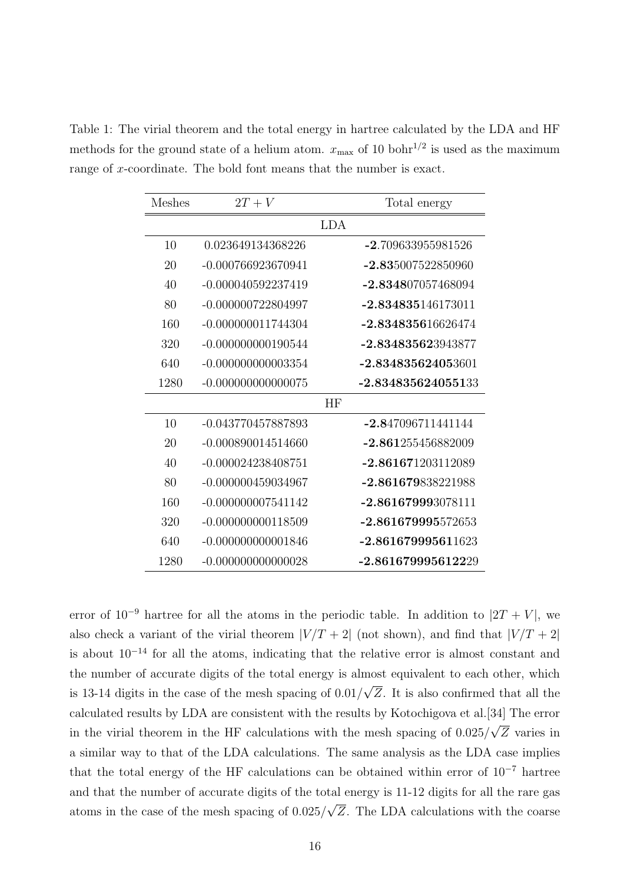Table 1: The virial theorem and the total energy in hartree calculated by the LDA and HF methods for the ground state of a helium atom.  $x_{\text{max}}$  of 10 bohr<sup>1/2</sup> is used as the maximum range of x-coordinate. The bold font means that the number is exact.

| <b>Meshes</b> | $2T + V$             |            | Total energy         |
|---------------|----------------------|------------|----------------------|
|               |                      | <b>LDA</b> |                      |
| 10            | 0.023649134368226    |            | -2.709633955981526   |
| 20            | -0.000766923670941   |            | -2.835007522850960   |
| 40            | -0.000040592237419   |            | -2.834807057468094   |
| 80            | $-0.000000722804997$ |            | $-2.834835146173011$ |
| 160           | $-0.000000011744304$ |            | $-2.834835616626474$ |
| 320           | $-0.000000000190544$ |            | -2.834835623943877   |
| 640           | -0.000000000003354   |            | -2.834835624053601   |
| 1280          | $-0.000000000000075$ |            | -2.834835624055133   |
|               |                      | HF         |                      |
| 10            | -0.043770457887893   |            | -2.847096711441144   |
| 20            | -0.000890014514660   |            | -2.861255456882009   |
| 40            | $-0.000024238408751$ |            | $-2.861671203112089$ |
| 80            | -0.000000459034967   |            | -2.861679838221988   |
| 160           | $-0.000000007541142$ |            | $-2.861679993078111$ |
| 320           | $-0.000000000118509$ |            | -2.861679995572653   |
| 640           | $-0.000000000001846$ |            | $-2.861679995611623$ |
| 1280          | $-0.000000000000028$ |            | $-2.861679995612229$ |

error of  $10^{-9}$  hartree for all the atoms in the periodic table. In addition to  $|2T + V|$ , we also check a variant of the virial theorem  $|V/T + 2|$  (not shown), and find that  $|V/T + 2|$ is about  $10^{-14}$  for all the atoms, indicating that the relative error is almost constant and the number of accurate digits of the total energy is almost equivalent to each other, which is 13-14 digits in the case of the mesh spacing of 0.01/ √ Z. It is also confirmed that all the calculated results by LDA are consistent with the results by Kotochigova et al.[34] The error in the virial theorem in the HF calculations with the mesh spacing of 0.025/ √ Z varies in a similar way to that of the LDA calculations. The same analysis as the LDA case implies that the total energy of the HF calculations can be obtained within error of 10<sup>−</sup><sup>7</sup> hartree and that the number of accurate digits of the total energy is 11-12 digits for all the rare gas atoms in the case of the mesh spacing of 0.025/ √ Z. The LDA calculations with the coarse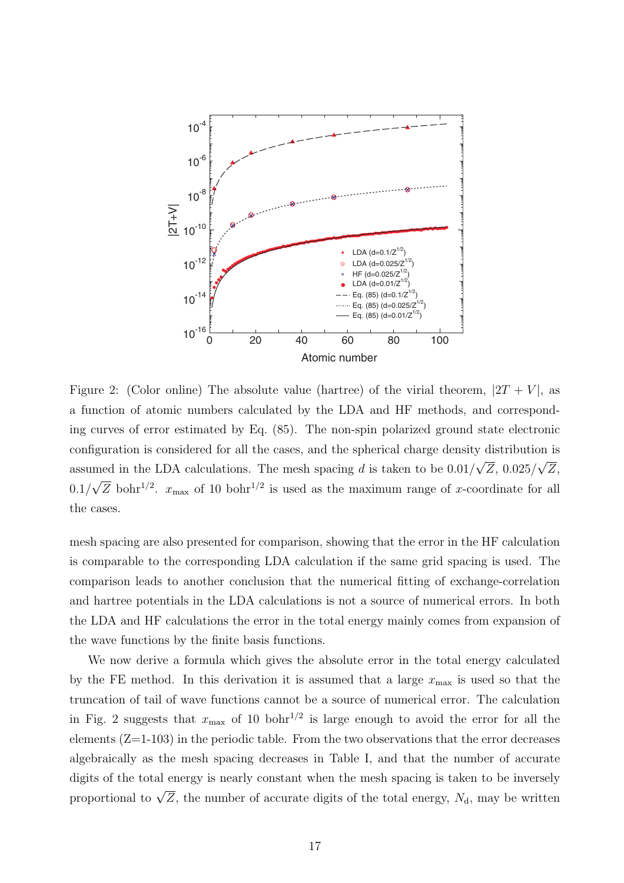

Figure 2: (Color online) The absolute value (hartree) of the virial theorem,  $|2T + V|$ , as a function of atomic numbers calculated by the LDA and HF methods, and corresponding curves of error estimated by Eq. (85). The non-spin polarized ground state electronic configuration is considered for all the cases, and the spherical charge density distribution is assumed in the LDA calculations. The mesh spacing  $d$  is taken to be 0.01/ √ Z, 0.025/ √ Z,  $0.1/$ √  $\overline{Z}$  bohr<sup>1/2</sup>.  $x_{\text{max}}$  of 10 bohr<sup>1/2</sup> is used as the maximum range of x-coordinate for all the cases.

mesh spacing are also presented for comparison, showing that the error in the HF calculation is comparable to the corresponding LDA calculation if the same grid spacing is used. The comparison leads to another conclusion that the numerical fitting of exchange-correlation and hartree potentials in the LDA calculations is not a source of numerical errors. In both the LDA and HF calculations the error in the total energy mainly comes from expansion of the wave functions by the finite basis functions.

We now derive a formula which gives the absolute error in the total energy calculated by the FE method. In this derivation it is assumed that a large  $x_{\text{max}}$  is used so that the truncation of tail of wave functions cannot be a source of numerical error. The calculation in Fig. 2 suggests that  $x_{\text{max}}$  of 10 bohr<sup>1/2</sup> is large enough to avoid the error for all the elements  $(Z=1-103)$  in the periodic table. From the two observations that the error decreases algebraically as the mesh spacing decreases in Table I, and that the number of accurate digits of the total energy is nearly constant when the mesh spacing is taken to be inversely proportional to  $\sqrt{Z}$ , the number of accurate digits of the total energy,  $N_d$ , may be written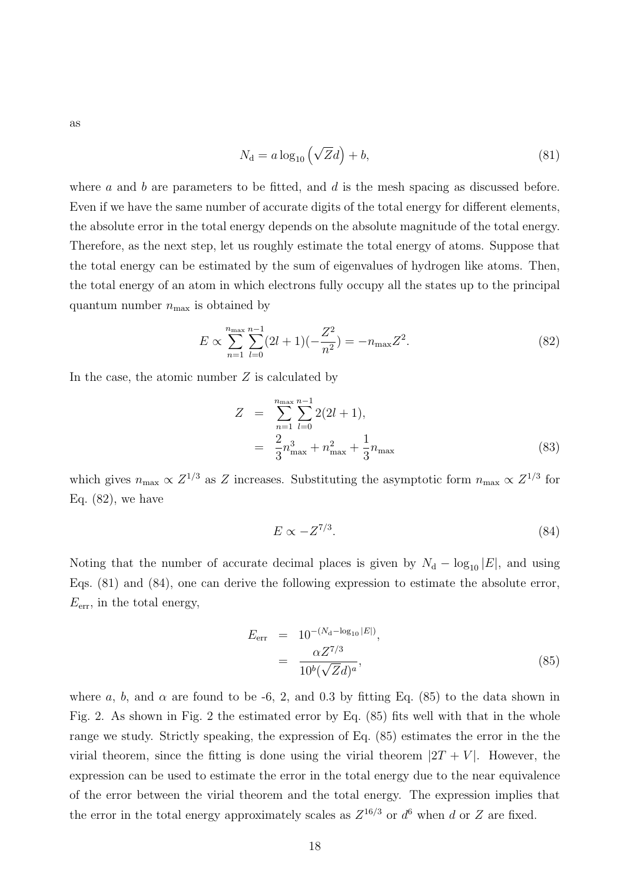as

$$
N_{\rm d} = a \log_{10} \left( \sqrt{Z} d \right) + b,\tag{81}
$$

where a and b are parameters to be fitted, and d is the mesh spacing as discussed before. Even if we have the same number of accurate digits of the total energy for different elements, the absolute error in the total energy depends on the absolute magnitude of the total energy. Therefore, as the next step, let us roughly estimate the total energy of atoms. Suppose that the total energy can be estimated by the sum of eigenvalues of hydrogen like atoms. Then, the total energy of an atom in which electrons fully occupy all the states up to the principal quantum number  $n_{\text{max}}$  is obtained by

$$
E \propto \sum_{n=1}^{n_{\text{max}}} \sum_{l=0}^{n-1} (2l+1)(-\frac{Z^2}{n^2}) = -n_{\text{max}} Z^2.
$$
 (82)

In the case, the atomic number  $Z$  is calculated by

$$
Z = \sum_{n=1}^{n_{\text{max}}} \sum_{l=0}^{n-1} 2(2l+1),
$$
  
= 
$$
\frac{2}{3}n_{\text{max}}^3 + n_{\text{max}}^2 + \frac{1}{3}n_{\text{max}}
$$
 (83)

which gives  $n_{\text{max}} \propto Z^{1/3}$  as Z increases. Substituting the asymptotic form  $n_{\text{max}} \propto Z^{1/3}$  for Eq. (82), we have

$$
E \propto -Z^{7/3}.\tag{84}
$$

Noting that the number of accurate decimal places is given by  $N_d - \log_{10} |E|$ , and using Eqs. (81) and (84), one can derive the following expression to estimate the absolute error,  $E_{\text{err}}$ , in the total energy,

$$
E_{\text{err}} = 10^{-(N_{\text{d}} - \log_{10}|E|)},
$$
  
= 
$$
\frac{\alpha Z^{7/3}}{10^b (\sqrt{Z}d)^a},
$$
 (85)

where a, b, and  $\alpha$  are found to be -6, 2, and 0.3 by fitting Eq. (85) to the data shown in Fig. 2. As shown in Fig. 2 the estimated error by Eq. (85) fits well with that in the whole range we study. Strictly speaking, the expression of Eq. (85) estimates the error in the the virial theorem, since the fitting is done using the virial theorem  $|2T + V|$ . However, the expression can be used to estimate the error in the total energy due to the near equivalence of the error between the virial theorem and the total energy. The expression implies that the error in the total energy approximately scales as  $Z^{16/3}$  or  $d^6$  when d or Z are fixed.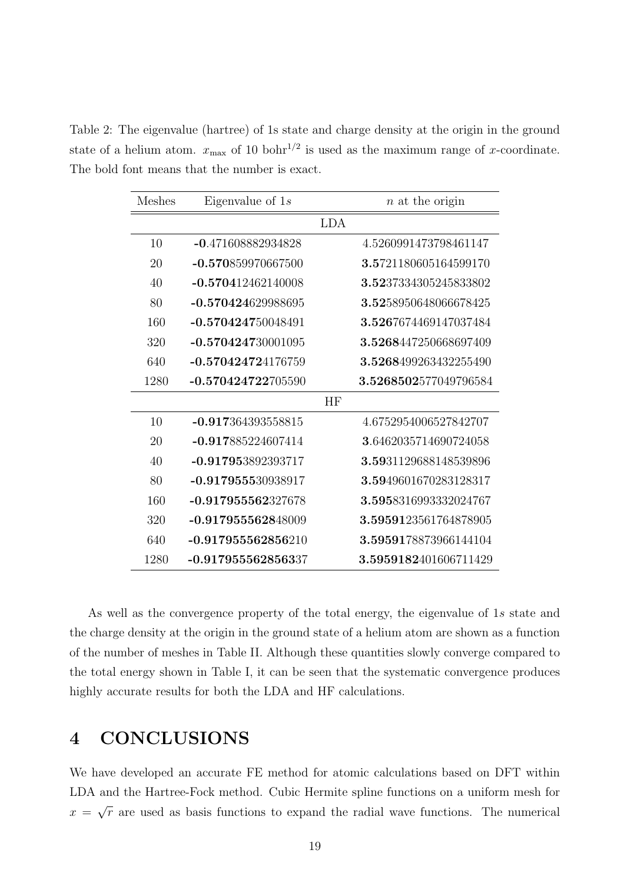Table 2: The eigenvalue (hartree) of 1s state and charge density at the origin in the ground state of a helium atom.  $x_{\text{max}}$  of 10 bohr<sup>1/2</sup> is used as the maximum range of x-coordinate. The bold font means that the number is exact.

| Meshes | Eigenvalue of $1s$   | $n$ at the origin     |
|--------|----------------------|-----------------------|
|        |                      | <b>LDA</b>            |
| 10     | -0.471608882934828   | 4.5260991473798461147 |
| 20     | -0.570859970667500   | 3.5721180605164599170 |
| 40     | $-0.570412462140008$ | 3.5237334305245833802 |
| 80     | -0.570424629988695   | 3.5258950648066678425 |
| 160    | $-0.570424750048491$ | 3.5267674469147037484 |
| 320    | $-0.570424730001095$ | 3.5268447250668697409 |
| 640    | $-0.570424724176759$ | 3.5268499263432255490 |
| 1280   | $-0.570424722705590$ | 3.5268502577049796584 |
|        |                      | HF                    |
| 10     | $-0.917364393558815$ | 4.6752954006527842707 |
| 20     | $-0.917885224607414$ | 3.6462035714690724058 |
| 40     | -0.917953892393717   | 3.5931129688148539896 |
| 80     | $-0.917955530938917$ | 3.5949601670283128317 |
| 160    | $-0.917955562327678$ | 3.5958316993332024767 |
| 320    | -0.917955562848009   | 3.5959123561764878905 |
| 640    | $-0.917955562856210$ | 3.5959178873966144104 |
| 1280   | -0.917955562856337   | 3.5959182401606711429 |

As well as the convergence property of the total energy, the eigenvalue of 1s state and the charge density at the origin in the ground state of a helium atom are shown as a function of the number of meshes in Table II. Although these quantities slowly converge compared to the total energy shown in Table I, it can be seen that the systematic convergence produces highly accurate results for both the LDA and HF calculations.

### 4 CONCLUSIONS

We have developed an accurate FE method for atomic calculations based on DFT within LDA and the Hartree-Fock method. Cubic Hermite spline functions on a uniform mesh for  $x =$ √  $\bar{r}$  are used as basis functions to expand the radial wave functions. The numerical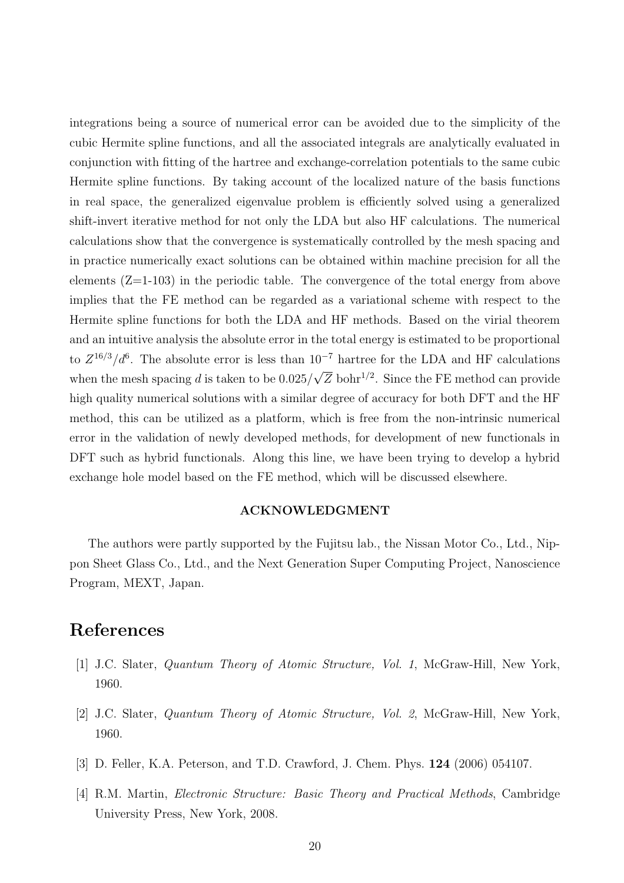integrations being a source of numerical error can be avoided due to the simplicity of the cubic Hermite spline functions, and all the associated integrals are analytically evaluated in conjunction with fitting of the hartree and exchange-correlation potentials to the same cubic Hermite spline functions. By taking account of the localized nature of the basis functions in real space, the generalized eigenvalue problem is efficiently solved using a generalized shift-invert iterative method for not only the LDA but also HF calculations. The numerical calculations show that the convergence is systematically controlled by the mesh spacing and in practice numerically exact solutions can be obtained within machine precision for all the elements  $(Z=1-103)$  in the periodic table. The convergence of the total energy from above implies that the FE method can be regarded as a variational scheme with respect to the Hermite spline functions for both the LDA and HF methods. Based on the virial theorem and an intuitive analysis the absolute error in the total energy is estimated to be proportional to  $Z^{16/3}/d^6$ . The absolute error is less than  $10^{-7}$  hartree for the LDA and HF calculations when the mesh spacing  $d$  is taken to be  $0.025/$ √  $\overline{Z}$  bohr<sup>1/2</sup>. Since the FE method can provide high quality numerical solutions with a similar degree of accuracy for both DFT and the HF method, this can be utilized as a platform, which is free from the non-intrinsic numerical error in the validation of newly developed methods, for development of new functionals in DFT such as hybrid functionals. Along this line, we have been trying to develop a hybrid exchange hole model based on the FE method, which will be discussed elsewhere.

#### ACKNOWLEDGMENT

The authors were partly supported by the Fujitsu lab., the Nissan Motor Co., Ltd., Nippon Sheet Glass Co., Ltd., and the Next Generation Super Computing Project, Nanoscience Program, MEXT, Japan.

### References

- [1] J.C. Slater, Quantum Theory of Atomic Structure, Vol. 1, McGraw-Hill, New York, 1960.
- [2] J.C. Slater, Quantum Theory of Atomic Structure, Vol. 2, McGraw-Hill, New York, 1960.
- [3] D. Feller, K.A. Peterson, and T.D. Crawford, J. Chem. Phys. 124 (2006) 054107.
- [4] R.M. Martin, Electronic Structure: Basic Theory and Practical Methods, Cambridge University Press, New York, 2008.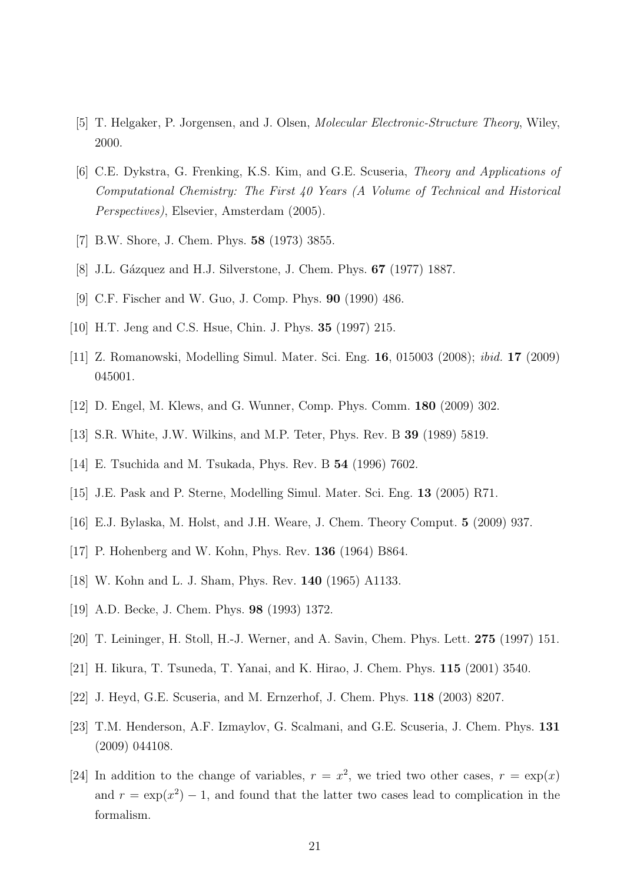- [5] T. Helgaker, P. Jorgensen, and J. Olsen, Molecular Electronic-Structure Theory, Wiley, 2000.
- [6] C.E. Dykstra, G. Frenking, K.S. Kim, and G.E. Scuseria, Theory and Applications of Computational Chemistry: The First 40 Years (A Volume of Technical and Historical Perspectives), Elsevier, Amsterdam (2005).
- [7] B.W. Shore, J. Chem. Phys. 58 (1973) 3855.
- [8] J.L. Gázquez and H.J. Silverstone, J. Chem. Phys. **67** (1977) 1887.
- [9] C.F. Fischer and W. Guo, J. Comp. Phys. 90 (1990) 486.
- [10] H.T. Jeng and C.S. Hsue, Chin. J. Phys. 35 (1997) 215.
- [11] Z. Romanowski, Modelling Simul. Mater. Sci. Eng. 16, 015003 (2008); ibid. 17 (2009) 045001.
- [12] D. Engel, M. Klews, and G. Wunner, Comp. Phys. Comm. 180 (2009) 302.
- [13] S.R. White, J.W. Wilkins, and M.P. Teter, Phys. Rev. B 39 (1989) 5819.
- [14] E. Tsuchida and M. Tsukada, Phys. Rev. B 54 (1996) 7602.
- [15] J.E. Pask and P. Sterne, Modelling Simul. Mater. Sci. Eng. 13 (2005) R71.
- [16] E.J. Bylaska, M. Holst, and J.H. Weare, J. Chem. Theory Comput. 5 (2009) 937.
- [17] P. Hohenberg and W. Kohn, Phys. Rev. 136 (1964) B864.
- [18] W. Kohn and L. J. Sham, Phys. Rev. 140 (1965) A1133.
- [19] A.D. Becke, J. Chem. Phys. **98** (1993) 1372.
- [20] T. Leininger, H. Stoll, H.-J. Werner, and A. Savin, Chem. Phys. Lett. 275 (1997) 151.
- [21] H. Iikura, T. Tsuneda, T. Yanai, and K. Hirao, J. Chem. Phys. 115 (2001) 3540.
- [22] J. Heyd, G.E. Scuseria, and M. Ernzerhof, J. Chem. Phys. 118 (2003) 8207.
- [23] T.M. Henderson, A.F. Izmaylov, G. Scalmani, and G.E. Scuseria, J. Chem. Phys. 131 (2009) 044108.
- [24] In addition to the change of variables,  $r = x^2$ , we tried two other cases,  $r = \exp(x)$ and  $r = \exp(x^2) - 1$ , and found that the latter two cases lead to complication in the formalism.